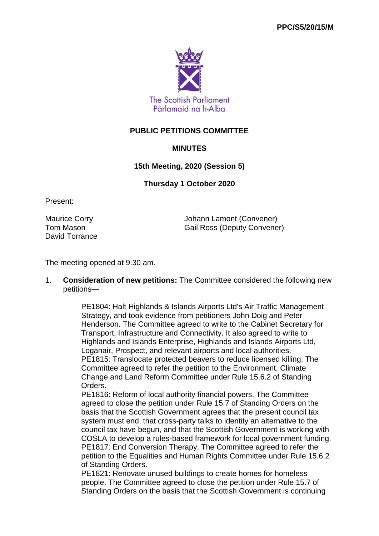

## **PUBLIC PETITIONS COMMITTEE**

# **MINUTES**

## **15th Meeting, 2020 (Session 5)**

#### **Thursday 1 October 2020**

Present:

David Torrance

Maurice Corry Johann Lamont (Convener) Tom Mason Gail Ross (Deputy Convener)

The meeting opened at 9.30 am.

#### 1. **Consideration of new petitions:** The Committee considered the following new petitions—

PE1804: Halt Highlands & Islands Airports Ltd's Air Traffic Management Strategy, and took evidence from petitioners John Doig and Peter Henderson. The Committee agreed to write to the Cabinet Secretary for Transport, Infrastructure and Connectivity. It also agreed to write to Highlands and Islands Enterprise, Highlands and Islands Airports Ltd, Loganair, Prospect, and relevant airports and local authorities. PE1815: Translocate protected beavers to reduce licensed killing. The Committee agreed to refer the petition to the Environment, Climate Change and Land Reform Committee under Rule 15.6.2 of Standing Orders.

PE1816: Reform of local authority financial powers. The Committee agreed to close the petition under Rule 15.7 of Standing Orders on the basis that the Scottish Government agrees that the present council tax system must end, that cross-party talks to identity an alternative to the council tax have begun, and that the Scottish Government is working with COSLA to develop a rules-based framework for local government funding. PE1817: End Conversion Therapy. The Committee agreed to refer the petition to the Equalities and Human Rights Committee under Rule 15.6.2 of Standing Orders.

PE1821: Renovate unused buildings to create homes for homeless people. The Committee agreed to close the petition under Rule 15.7 of Standing Orders on the basis that the Scottish Government is continuing